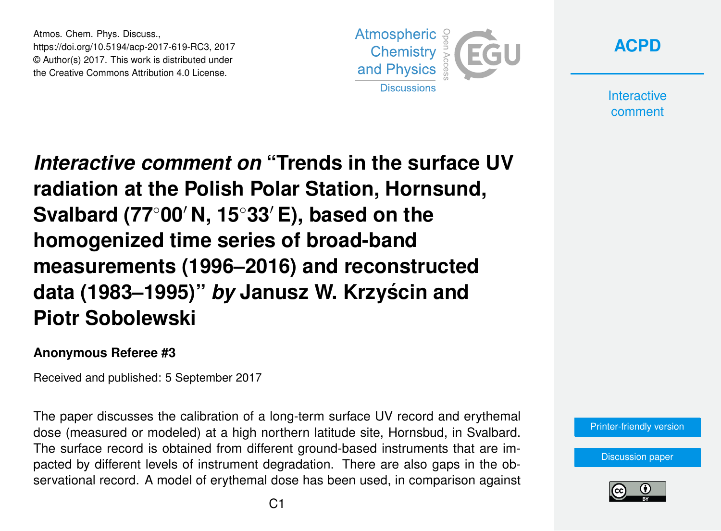Atmos. Chem. Phys. Discuss., https://doi.org/10.5194/acp-2017-619-RC3, 2017 © Author(s) 2017. This work is distributed under the Creative Commons Attribution 4.0 License.



**[ACPD](https://www.atmos-chem-phys-discuss.net/)**

**Interactive** comment

*Interactive comment on* **"Trends in the surface UV radiation at the Polish Polar Station, Hornsund, Svalbard (77<sup>◦</sup>00′ N, 15<sup>◦</sup>33′ E), based on the homogenized time series of broad-band measurements (1996–2016) and reconstructed data (1983–1995)"** *by* **Janusz W. Krzyscin and ´ Piotr Sobolewski**

## **Anonymous Referee #3**

Received and published: 5 September 2017

The paper discusses the calibration of a long-term surface UV record and erythemal dose (measured or modeled) at a high northern latitude site, Hornsbud, in Svalbard. The surface record is obtained from different ground-based instruments that are impacted by different levels of instrument degradation. There are also gaps in the observational record. A model of erythemal dose has been used, in comparison against

[Printer-friendly version](https://www.atmos-chem-phys-discuss.net/acp-2017-619/acp-2017-619-RC3-print.pdf)

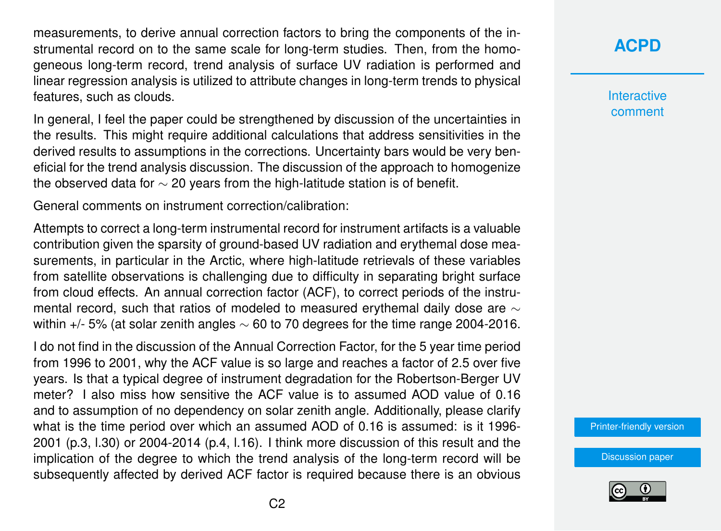measurements, to derive annual correction factors to bring the components of the instrumental record on to the same scale for long-term studies. Then, from the homogeneous long-term record, trend analysis of surface UV radiation is performed and linear regression analysis is utilized to attribute changes in long-term trends to physical features, such as clouds.

In general, I feel the paper could be strengthened by discussion of the uncertainties in the results. This might require additional calculations that address sensitivities in the derived results to assumptions in the corrections. Uncertainty bars would be very beneficial for the trend analysis discussion. The discussion of the approach to homogenize the observed data for  $\sim$  20 years from the high-latitude station is of benefit.

General comments on instrument correction/calibration:

Attempts to correct a long-term instrumental record for instrument artifacts is a valuable contribution given the sparsity of ground-based UV radiation and erythemal dose measurements, in particular in the Arctic, where high-latitude retrievals of these variables from satellite observations is challenging due to difficulty in separating bright surface from cloud effects. An annual correction factor (ACF), to correct periods of the instrumental record, such that ratios of modeled to measured erythemal daily dose are ∼ within  $+/-$  5% (at solar zenith angles  $\sim$  60 to 70 degrees for the time range 2004-2016.

I do not find in the discussion of the Annual Correction Factor, for the 5 year time period from 1996 to 2001, why the ACF value is so large and reaches a factor of 2.5 over five years. Is that a typical degree of instrument degradation for the Robertson-Berger UV meter? I also miss how sensitive the ACF value is to assumed AOD value of 0.16 and to assumption of no dependency on solar zenith angle. Additionally, please clarify what is the time period over which an assumed AOD of 0.16 is assumed: is it 1996- 2001 (p.3, l.30) or 2004-2014 (p.4, l.16). I think more discussion of this result and the implication of the degree to which the trend analysis of the long-term record will be subsequently affected by derived ACF factor is required because there is an obvious

## **[ACPD](https://www.atmos-chem-phys-discuss.net/)**

**Interactive** comment

[Printer-friendly version](https://www.atmos-chem-phys-discuss.net/acp-2017-619/acp-2017-619-RC3-print.pdf)

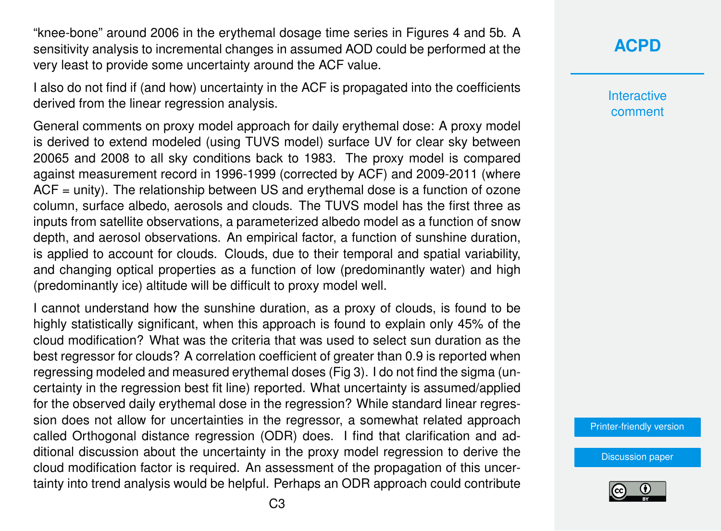"knee-bone" around 2006 in the erythemal dosage time series in Figures 4 and 5b. A sensitivity analysis to incremental changes in assumed AOD could be performed at the very least to provide some uncertainty around the ACF value.

I also do not find if (and how) uncertainty in the ACF is propagated into the coefficients derived from the linear regression analysis.

General comments on proxy model approach for daily erythemal dose: A proxy model is derived to extend modeled (using TUVS model) surface UV for clear sky between 20065 and 2008 to all sky conditions back to 1983. The proxy model is compared against measurement record in 1996-1999 (corrected by ACF) and 2009-2011 (where ACF = unity). The relationship between US and erythemal dose is a function of ozone column, surface albedo, aerosols and clouds. The TUVS model has the first three as inputs from satellite observations, a parameterized albedo model as a function of snow depth, and aerosol observations. An empirical factor, a function of sunshine duration, is applied to account for clouds. Clouds, due to their temporal and spatial variability, and changing optical properties as a function of low (predominantly water) and high (predominantly ice) altitude will be difficult to proxy model well.

I cannot understand how the sunshine duration, as a proxy of clouds, is found to be highly statistically significant, when this approach is found to explain only 45% of the cloud modification? What was the criteria that was used to select sun duration as the best regressor for clouds? A correlation coefficient of greater than 0.9 is reported when regressing modeled and measured erythemal doses (Fig 3). I do not find the sigma (uncertainty in the regression best fit line) reported. What uncertainty is assumed/applied for the observed daily erythemal dose in the regression? While standard linear regression does not allow for uncertainties in the regressor, a somewhat related approach called Orthogonal distance regression (ODR) does. I find that clarification and additional discussion about the uncertainty in the proxy model regression to derive the cloud modification factor is required. An assessment of the propagation of this uncertainty into trend analysis would be helpful. Perhaps an ODR approach could contribute

## **[ACPD](https://www.atmos-chem-phys-discuss.net/)**

**Interactive** comment

[Printer-friendly version](https://www.atmos-chem-phys-discuss.net/acp-2017-619/acp-2017-619-RC3-print.pdf)